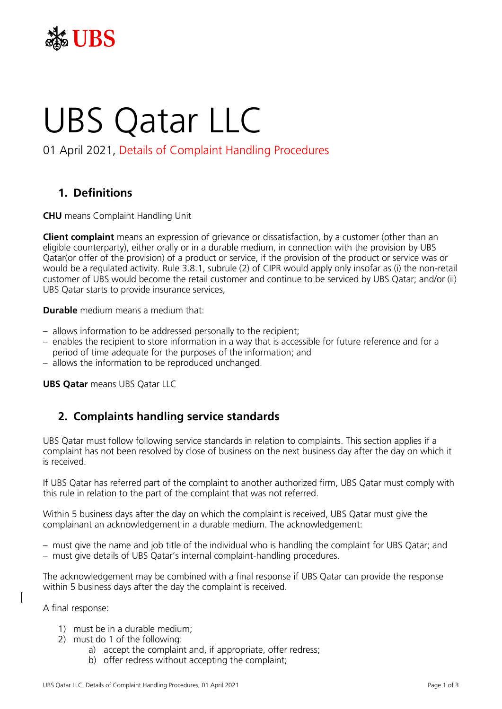

# UBS Qatar LLC

# 01 April 2021, Details of Complaint Handling Procedures

# **1. Definitions**

**CHU** means Complaint Handling Unit

**Client complaint** means an expression of grievance or dissatisfaction, by a customer (other than an eligible counterparty), either orally or in a durable medium, in connection with the provision by UBS Qatar(or offer of the provision) of a product or service, if the provision of the product or service was or would be a regulated activity. Rule 3.8.1, subrule (2) of CIPR would apply only insofar as (i) the non-retail customer of UBS would become the retail customer and continue to be serviced by UBS Qatar; and/or (ii) UBS Qatar starts to provide insurance services,

**Durable** medium means a medium that:

- allows information to be addressed personally to the recipient;
- enables the recipient to store information in a way that is accessible for future reference and for a period of time adequate for the purposes of the information; and
- allows the information to be reproduced unchanged.

**UBS Qatar** means UBS Qatar LLC

### **2. Complaints handling service standards**

UBS Qatar must follow following service standards in relation to complaints. This section applies if a complaint has not been resolved by close of business on the next business day after the day on which it is received.

If UBS Qatar has referred part of the complaint to another authorized firm, UBS Qatar must comply with this rule in relation to the part of the complaint that was not referred.

Within 5 business days after the day on which the complaint is received, UBS Qatar must give the complainant an acknowledgement in a durable medium. The acknowledgement:

- must give the name and job title of the individual who is handling the complaint for UBS Qatar; and
- must give details of UBS Qatar's internal complaint-handling procedures.

The acknowledgement may be combined with a final response if UBS Qatar can provide the response within 5 business days after the day the complaint is received.

A final response:

- 1) must be in a durable medium;
- 2) must do 1 of the following:
	- a) accept the complaint and, if appropriate, offer redress;
	- b) offer redress without accepting the complaint;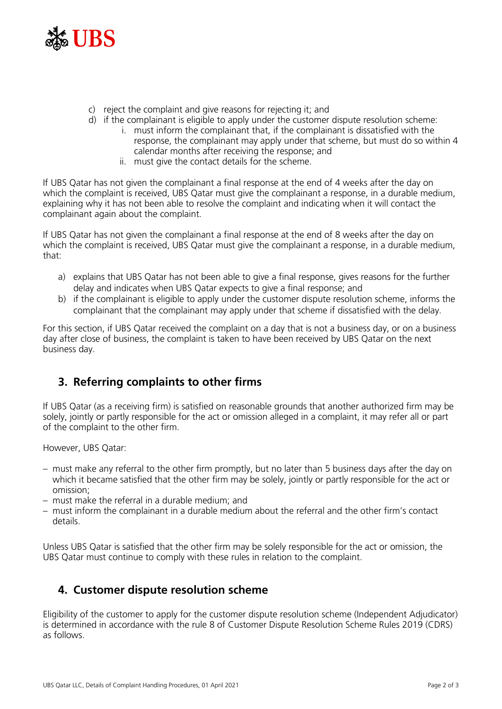

- c) reject the complaint and give reasons for rejecting it; and
- d) if the complainant is eligible to apply under the customer dispute resolution scheme:
	- i. must inform the complainant that, if the complainant is dissatisfied with the response, the complainant may apply under that scheme, but must do so within 4 calendar months after receiving the response; and
	- ii. must give the contact details for the scheme.

If UBS Qatar has not given the complainant a final response at the end of 4 weeks after the day on which the complaint is received, UBS Qatar must give the complainant a response, in a durable medium, explaining why it has not been able to resolve the complaint and indicating when it will contact the complainant again about the complaint.

If UBS Qatar has not given the complainant a final response at the end of 8 weeks after the day on which the complaint is received, UBS Qatar must give the complainant a response, in a durable medium, that:

- a) explains that UBS Qatar has not been able to give a final response, gives reasons for the further delay and indicates when UBS Qatar expects to give a final response; and
- b) if the complainant is eligible to apply under the customer dispute resolution scheme, informs the complainant that the complainant may apply under that scheme if dissatisfied with the delay.

For this section, if UBS Qatar received the complaint on a day that is not a business day, or on a business day after close of business, the complaint is taken to have been received by UBS Qatar on the next business day.

# **3. Referring complaints to other firms**

If UBS Qatar (as a receiving firm) is satisfied on reasonable grounds that another authorized firm may be solely, jointly or partly responsible for the act or omission alleged in a complaint, it may refer all or part of the complaint to the other firm.

However, UBS Qatar:

- must make any referral to the other firm promptly, but no later than 5 business days after the day on which it became satisfied that the other firm may be solely, jointly or partly responsible for the act or omission;
- must make the referral in a durable medium; and
- must inform the complainant in a durable medium about the referral and the other firm's contact details.

Unless UBS Qatar is satisfied that the other firm may be solely responsible for the act or omission, the UBS Qatar must continue to comply with these rules in relation to the complaint.

# **4. Customer dispute resolution scheme**

Eligibility of the customer to apply for the customer dispute resolution scheme (Independent Adjudicator) is determined in accordance with the rule 8 of Customer Dispute Resolution Scheme Rules 2019 (CDRS) as follows.